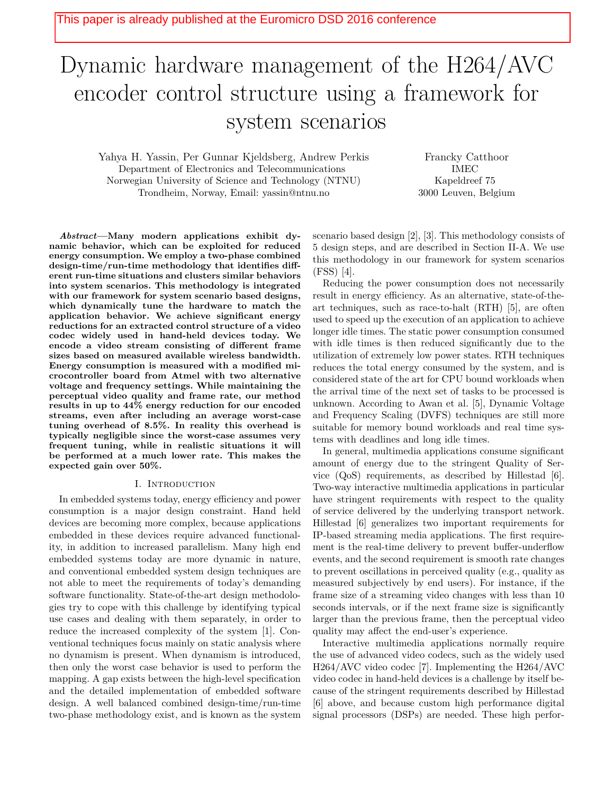# Dynamic hardware management of the H264/AVC encoder control structure using a framework for system scenarios

Yahya H. Yassin, Per Gunnar Kjeldsberg, Andrew Perkis Department of Electronics and Telecommunications Norwegian University of Science and Technology (NTNU) Trondheim, Norway, Email: yassin@ntnu.no

Francky Catthoor IMEC Kapeldreef 75 3000 Leuven, Belgium

*Abstract***—Many modern applications exhibit dynamic behavior, which can be exploited for reduced energy consumption. We employ a two-phase combined design-time/run-time methodology that identifies different run-time situations and clusters similar behaviors into system scenarios. This methodology is integrated with our framework for system scenario based designs, which dynamically tune the hardware to match the application behavior. We achieve significant energy reductions for an extracted control structure of a video codec widely used in hand-held devices today. We encode a video stream consisting of different frame sizes based on measured available wireless bandwidth. Energy consumption is measured with a modified microcontroller board from Atmel with two alternative voltage and frequency settings. While maintaining the perceptual video quality and frame rate, our method results in up to 44% energy reduction for our encoded streams, even after including an average worst-case tuning overhead of 8.5%. In reality this overhead is typically negligible since the worst-case assumes very frequent tuning, while in realistic situations it will be performed at a much lower rate. This makes the expected gain over 50%.**

# I. INTRODUCTION

In embedded systems today, energy efficiency and power consumption is a major design constraint. Hand held devices are becoming more complex, because applications embedded in these devices require advanced functionality, in addition to increased parallelism. Many high end embedded systems today are more dynamic in nature, and conventional embedded system design techniques are not able to meet the requirements of today's demanding software functionality. State-of-the-art design methodologies try to cope with this challenge by identifying typical use cases and dealing with them separately, in order to reduce the increased complexity of the system [1]. Conventional techniques focus mainly on static analysis where no dynamism is present. When dynamism is introduced, then only the worst case behavior is used to perform the mapping. A gap exists between the high-level specification and the detailed implementation of embedded software design. A well balanced combined design-time/run-time two-phase methodology exist, and is known as the system scenario based design [2], [3]. This methodology consists of 5 design steps, and are described in Section II-A. We use this methodology in our framework for system scenarios (FSS) [4].

Reducing the power consumption does not necessarily result in energy efficiency. As an alternative, state-of-theart techniques, such as race-to-halt (RTH) [5], are often used to speed up the execution of an application to achieve longer idle times. The static power consumption consumed with idle times is then reduced significantly due to the utilization of extremely low power states. RTH techniques reduces the total energy consumed by the system, and is considered state of the art for CPU bound workloads when the arrival time of the next set of tasks to be processed is unknown. According to Awan et al. [5], Dynamic Voltage and Frequency Scaling (DVFS) techniques are still more suitable for memory bound workloads and real time systems with deadlines and long idle times.

In general, multimedia applications consume significant amount of energy due to the stringent Quality of Service (QoS) requirements, as described by Hillestad [6]. Two-way interactive multimedia applications in particular have stringent requirements with respect to the quality of service delivered by the underlying transport network. Hillestad [6] generalizes two important requirements for IP-based streaming media applications. The first requirement is the real-time delivery to prevent buffer-underflow events, and the second requirement is smooth rate changes to prevent oscillations in perceived quality (e.g., quality as measured subjectively by end users). For instance, if the frame size of a streaming video changes with less than 10 seconds intervals, or if the next frame size is significantly larger than the previous frame, then the perceptual video quality may affect the end-user's experience.

Interactive multimedia applications normally require the use of advanced video codecs, such as the widely used H264/AVC video codec [7]. Implementing the H264/AVC video codec in hand-held devices is a challenge by itself because of the stringent requirements described by Hillestad [6] above, and because custom high performance digital signal processors (DSPs) are needed. These high perfor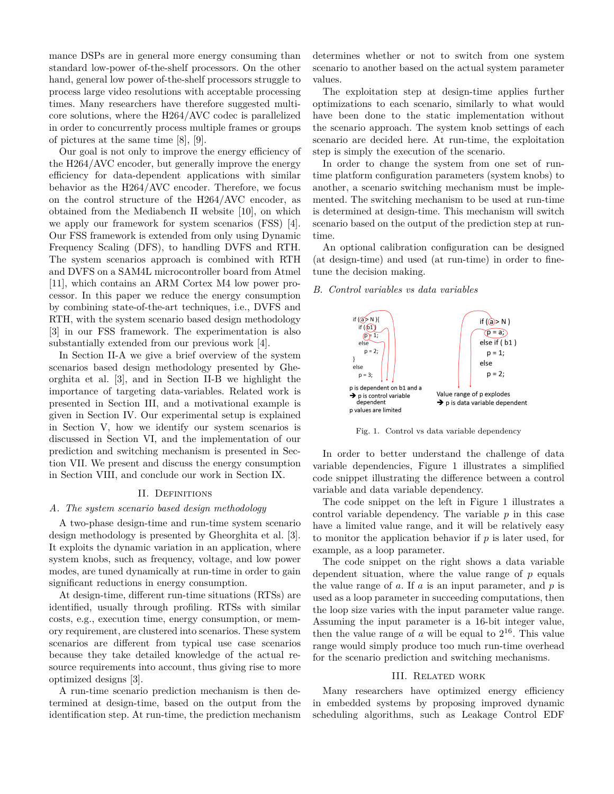mance DSPs are in general more energy consuming than standard low-power of-the-shelf processors. On the other hand, general low power of-the-shelf processors struggle to process large video resolutions with acceptable processing times. Many researchers have therefore suggested multicore solutions, where the H264/AVC codec is parallelized in order to concurrently process multiple frames or groups of pictures at the same time [8], [9].

Our goal is not only to improve the energy efficiency of the H264/AVC encoder, but generally improve the energy efficiency for data-dependent applications with similar behavior as the H264/AVC encoder. Therefore, we focus on the control structure of the H264/AVC encoder, as obtained from the Mediabench II website [10], on which we apply our framework for system scenarios (FSS) [4]. Our FSS framework is extended from only using Dynamic Frequency Scaling (DFS), to handling DVFS and RTH. The system scenarios approach is combined with RTH and DVFS on a SAM4L microcontroller board from Atmel [11], which contains an ARM Cortex M4 low power processor. In this paper we reduce the energy consumption by combining state-of-the-art techniques, i.e., DVFS and RTH, with the system scenario based design methodology [3] in our FSS framework. The experimentation is also substantially extended from our previous work [4].

In Section II-A we give a brief overview of the system scenarios based design methodology presented by Gheorghita et al. [3], and in Section II-B we highlight the importance of targeting data-variables. Related work is presented in Section III, and a motivational example is given in Section IV. Our experimental setup is explained in Section V, how we identify our system scenarios is discussed in Section VI, and the implementation of our prediction and switching mechanism is presented in Section VII. We present and discuss the energy consumption in Section VIII, and conclude our work in Section IX.

## II. DEFINITIONS

# *A. The system scenario based design methodology*

A two-phase design-time and run-time system scenario design methodology is presented by Gheorghita et al. [3]. It exploits the dynamic variation in an application, where system knobs, such as frequency, voltage, and low power modes, are tuned dynamically at run-time in order to gain significant reductions in energy consumption.

At design-time, different run-time situations (RTSs) are identified, usually through profiling. RTSs with similar costs, e.g., execution time, energy consumption, or memory requirement, are clustered into scenarios. These system scenarios are different from typical use case scenarios because they take detailed knowledge of the actual resource requirements into account, thus giving rise to more optimized designs [3].

A run-time scenario prediction mechanism is then determined at design-time, based on the output from the identification step. At run-time, the prediction mechanism

determines whether or not to switch from one system scenario to another based on the actual system parameter values.

The exploitation step at design-time applies further optimizations to each scenario, similarly to what would have been done to the static implementation without the scenario approach. The system knob settings of each scenario are decided here. At run-time, the exploitation step is simply the execution of the scenario.

In order to change the system from one set of runtime platform configuration parameters (system knobs) to another, a scenario switching mechanism must be implemented. The switching mechanism to be used at run-time is determined at design-time. This mechanism will switch scenario based on the output of the prediction step at runtime.

An optional calibration configuration can be designed (at design-time) and used (at run-time) in order to finetune the decision making.

#### *B. Control variables vs data variables*



Fig. 1. Control vs data variable dependency

In order to better understand the challenge of data variable dependencies, Figure 1 illustrates a simplified code snippet illustrating the difference between a control variable and data variable dependency.

The code snippet on the left in Figure 1 illustrates a control variable dependency. The variable *p* in this case have a limited value range, and it will be relatively easy to monitor the application behavior if *p* is later used, for example, as a loop parameter.

The code snippet on the right shows a data variable dependent situation, where the value range of *p* equals the value range of *a*. If *a* is an input parameter, and *p* is used as a loop parameter in succeeding computations, then the loop size varies with the input parameter value range. Assuming the input parameter is a 16-bit integer value, then the value range of  $a$  will be equal to  $2^{16}$ . This value range would simply produce too much run-time overhead for the scenario prediction and switching mechanisms.

#### III. Related work

Many researchers have optimized energy efficiency in embedded systems by proposing improved dynamic scheduling algorithms, such as Leakage Control EDF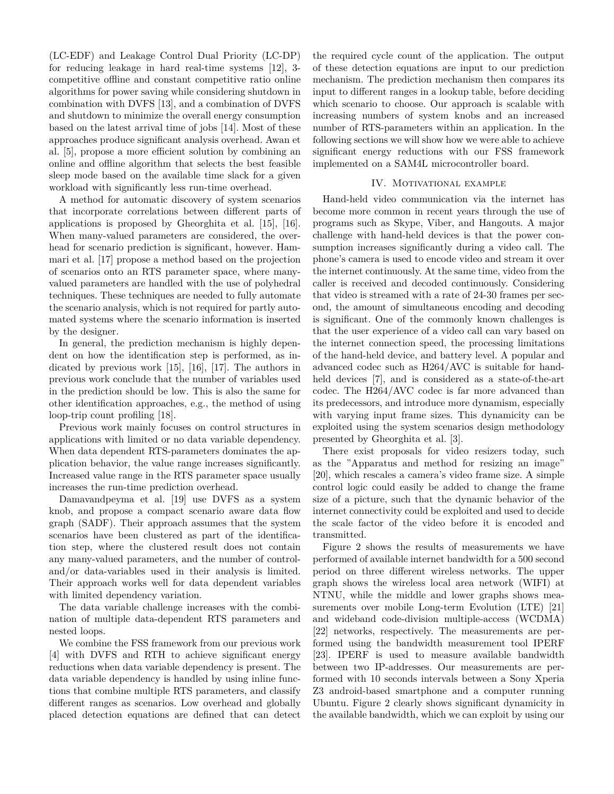(LC-EDF) and Leakage Control Dual Priority (LC-DP) for reducing leakage in hard real-time systems [12], 3 competitive offline and constant competitive ratio online algorithms for power saving while considering shutdown in combination with DVFS [13], and a combination of DVFS and shutdown to minimize the overall energy consumption based on the latest arrival time of jobs [14]. Most of these approaches produce significant analysis overhead. Awan et al. [5], propose a more efficient solution by combining an online and offline algorithm that selects the best feasible sleep mode based on the available time slack for a given workload with significantly less run-time overhead.

A method for automatic discovery of system scenarios that incorporate correlations between different parts of applications is proposed by Gheorghita et al. [15], [16]. When many-valued parameters are considered, the overhead for scenario prediction is significant, however. Hammari et al. [17] propose a method based on the projection of scenarios onto an RTS parameter space, where manyvalued parameters are handled with the use of polyhedral techniques. These techniques are needed to fully automate the scenario analysis, which is not required for partly automated systems where the scenario information is inserted by the designer.

In general, the prediction mechanism is highly dependent on how the identification step is performed, as indicated by previous work [15], [16], [17]. The authors in previous work conclude that the number of variables used in the prediction should be low. This is also the same for other identification approaches, e.g., the method of using loop-trip count profiling [18].

Previous work mainly focuses on control structures in applications with limited or no data variable dependency. When data dependent RTS-parameters dominates the application behavior, the value range increases significantly. Increased value range in the RTS parameter space usually increases the run-time prediction overhead.

Damavandpeyma et al. [19] use DVFS as a system knob, and propose a compact scenario aware data flow graph (SADF). Their approach assumes that the system scenarios have been clustered as part of the identification step, where the clustered result does not contain any many-valued parameters, and the number of controland/or data-variables used in their analysis is limited. Their approach works well for data dependent variables with limited dependency variation.

The data variable challenge increases with the combination of multiple data-dependent RTS parameters and nested loops.

We combine the FSS framework from our previous work [4] with DVFS and RTH to achieve significant energy reductions when data variable dependency is present. The data variable dependency is handled by using inline functions that combine multiple RTS parameters, and classify different ranges as scenarios. Low overhead and globally placed detection equations are defined that can detect

the required cycle count of the application. The output of these detection equations are input to our prediction mechanism. The prediction mechanism then compares its input to different ranges in a lookup table, before deciding which scenario to choose. Our approach is scalable with increasing numbers of system knobs and an increased number of RTS-parameters within an application. In the following sections we will show how we were able to achieve significant energy reductions with our FSS framework implemented on a SAM4L microcontroller board.

# IV. MOTIVATIONAL EXAMPLE

Hand-held video communication via the internet has become more common in recent years through the use of programs such as Skype, Viber, and Hangouts. A major challenge with hand-held devices is that the power consumption increases significantly during a video call. The phone's camera is used to encode video and stream it over the internet continuously. At the same time, video from the caller is received and decoded continuously. Considering that video is streamed with a rate of 24-30 frames per second, the amount of simultaneous encoding and decoding is significant. One of the commonly known challenges is that the user experience of a video call can vary based on the internet connection speed, the processing limitations of the hand-held device, and battery level. A popular and advanced codec such as H264/AVC is suitable for handheld devices [7], and is considered as a state-of-the-art codec. The H264/AVC codec is far more advanced than its predecessors, and introduce more dynamism, especially with varying input frame sizes. This dynamicity can be exploited using the system scenarios design methodology presented by Gheorghita et al. [3].

There exist proposals for video resizers today, such as the "Apparatus and method for resizing an image" [20], which rescales a camera's video frame size. A simple control logic could easily be added to change the frame size of a picture, such that the dynamic behavior of the internet connectivity could be exploited and used to decide the scale factor of the video before it is encoded and transmitted.

Figure 2 shows the results of measurements we have performed of available internet bandwidth for a 500 second period on three different wireless networks. The upper graph shows the wireless local area network (WIFI) at NTNU, while the middle and lower graphs shows measurements over mobile Long-term Evolution (LTE) [21] and wideband code-division multiple-access (WCDMA) [22] networks, respectively. The measurements are performed using the bandwidth measurement tool IPERF [23]. IPERF is used to measure available bandwidth between two IP-addresses. Our measurements are performed with 10 seconds intervals between a Sony Xperia Z3 android-based smartphone and a computer running Ubuntu. Figure 2 clearly shows significant dynamicity in the available bandwidth, which we can exploit by using our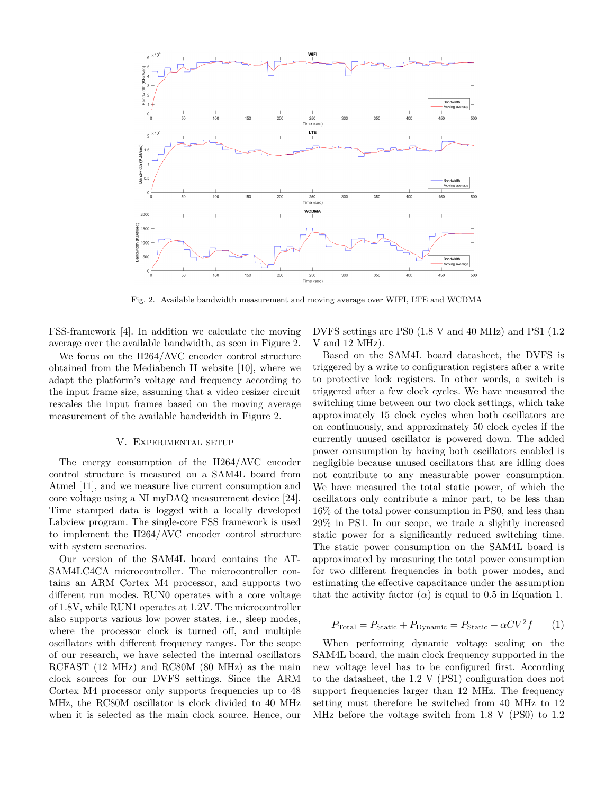

Fig. 2. Available bandwidth measurement and moving average over WIFI, LTE and WCDMA

FSS-framework [4]. In addition we calculate the moving average over the available bandwidth, as seen in Figure 2.

We focus on the H264/AVC encoder control structure obtained from the Mediabench II website [10], where we adapt the platform's voltage and frequency according to the input frame size, assuming that a video resizer circuit rescales the input frames based on the moving average measurement of the available bandwidth in Figure 2.

### V. Experimental setup

The energy consumption of the H264/AVC encoder control structure is measured on a SAM4L board from Atmel [11], and we measure live current consumption and core voltage using a NI myDAQ measurement device [24]. Time stamped data is logged with a locally developed Labview program. The single-core FSS framework is used to implement the H264/AVC encoder control structure with system scenarios.

Our version of the SAM4L board contains the AT-SAM4LC4CA microcontroller. The microcontroller contains an ARM Cortex M4 processor, and supports two different run modes. RUN0 operates with a core voltage of 1.8V, while RUN1 operates at 1.2V. The microcontroller also supports various low power states, i.e., sleep modes, where the processor clock is turned off, and multiple oscillators with different frequency ranges. For the scope of our research, we have selected the internal oscillators RCFAST (12 MHz) and RC80M (80 MHz) as the main clock sources for our DVFS settings. Since the ARM Cortex M4 processor only supports frequencies up to 48 MHz, the RC80M oscillator is clock divided to 40 MHz when it is selected as the main clock source. Hence, our DVFS settings are PS0 (1.8 V and 40 MHz) and PS1 (1.2 V and 12 MHz).

Based on the SAM4L board datasheet, the DVFS is triggered by a write to configuration registers after a write to protective lock registers. In other words, a switch is triggered after a few clock cycles. We have measured the switching time between our two clock settings, which take approximately 15 clock cycles when both oscillators are on continuously, and approximately 50 clock cycles if the currently unused oscillator is powered down. The added power consumption by having both oscillators enabled is negligible because unused oscillators that are idling does not contribute to any measurable power consumption. We have measured the total static power, of which the oscillators only contribute a minor part, to be less than 16% of the total power consumption in PS0, and less than 29% in PS1. In our scope, we trade a slightly increased static power for a significantly reduced switching time. The static power consumption on the SAM4L board is approximated by measuring the total power consumption for two different frequencies in both power modes, and estimating the effective capacitance under the assumption that the activity factor  $(\alpha)$  is equal to 0.5 in Equation 1.

$$
P_{\text{Total}} = P_{\text{Static}} + P_{\text{Dynamic}} = P_{\text{Static}} + \alpha CV^2 f \qquad (1)
$$

When performing dynamic voltage scaling on the SAM4L board, the main clock frequency supported in the new voltage level has to be configured first. According to the datasheet, the 1.2 V (PS1) configuration does not support frequencies larger than 12 MHz. The frequency setting must therefore be switched from 40 MHz to 12 MHz before the voltage switch from 1.8 V (PS0) to 1.2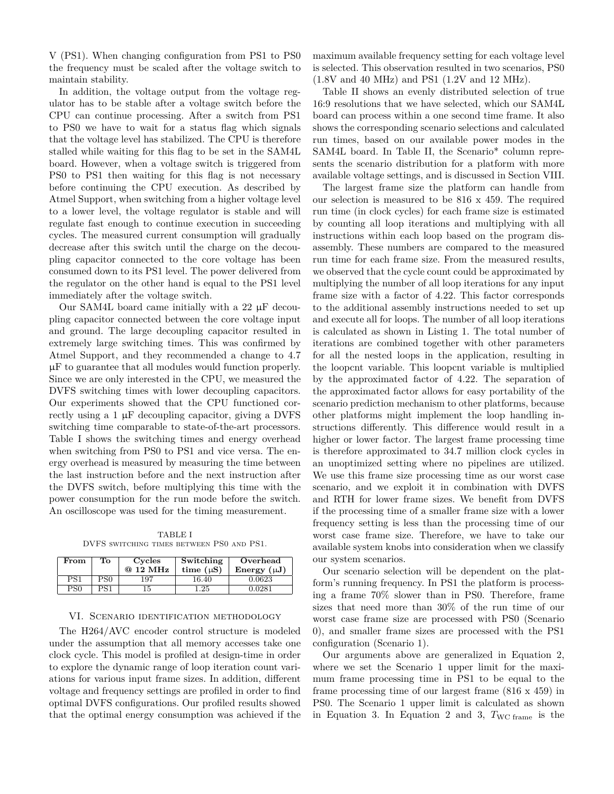V (PS1). When changing configuration from PS1 to PS0 the frequency must be scaled after the voltage switch to maintain stability.

In addition, the voltage output from the voltage regulator has to be stable after a voltage switch before the CPU can continue processing. After a switch from PS1 to PS0 we have to wait for a status flag which signals that the voltage level has stabilized. The CPU is therefore stalled while waiting for this flag to be set in the SAM4L board. However, when a voltage switch is triggered from PS0 to PS1 then waiting for this flag is not necessary before continuing the CPU execution. As described by Atmel Support, when switching from a higher voltage level to a lower level, the voltage regulator is stable and will regulate fast enough to continue execution in succeeding cycles. The measured current consumption will gradually decrease after this switch until the charge on the decoupling capacitor connected to the core voltage has been consumed down to its PS1 level. The power delivered from the regulator on the other hand is equal to the PS1 level immediately after the voltage switch.

Our SAM4L board came initially with a 22  $\mu$ F decoupling capacitor connected between the core voltage input and ground. The large decoupling capacitor resulted in extremely large switching times. This was confirmed by Atmel Support, and they recommended a change to 4.7 µF to guarantee that all modules would function properly. Since we are only interested in the CPU, we measured the DVFS switching times with lower decoupling capacitors. Our experiments showed that the CPU functioned correctly using a 1 µF decoupling capacitor, giving a DVFS switching time comparable to state-of-the-art processors. Table I shows the switching times and energy overhead when switching from PS0 to PS1 and vice versa. The energy overhead is measured by measuring the time between the last instruction before and the next instruction after the DVFS switch, before multiplying this time with the power consumption for the run mode before the switch. An oscilloscope was used for the timing measurement.

TABLE I DVFS switching times between PS0 and PS1.

| From | To  | Cycles<br>@ 12 MHz | Switching<br>time $(\mu S)$ | Overhead<br>Energy $(\mu J)$ |
|------|-----|--------------------|-----------------------------|------------------------------|
| PS1  | PSO | 197                | $16.40\,$                   | 0.0623                       |
|      | PS1 |                    | .25                         | 0.0281                       |

### VI. Scenario identification methodology

The H264/AVC encoder control structure is modeled under the assumption that all memory accesses take one clock cycle. This model is profiled at design-time in order to explore the dynamic range of loop iteration count variations for various input frame sizes. In addition, different voltage and frequency settings are profiled in order to find optimal DVFS configurations. Our profiled results showed that the optimal energy consumption was achieved if the maximum available frequency setting for each voltage level is selected. This observation resulted in two scenarios, PS0 (1.8V and 40 MHz) and PS1 (1.2V and 12 MHz).

Table II shows an evenly distributed selection of true 16:9 resolutions that we have selected, which our SAM4L board can process within a one second time frame. It also shows the corresponding scenario selections and calculated run times, based on our available power modes in the SAM4L board. In Table II, the Scenario\* column represents the scenario distribution for a platform with more available voltage settings, and is discussed in Section VIII.

The largest frame size the platform can handle from our selection is measured to be 816 x 459. The required run time (in clock cycles) for each frame size is estimated by counting all loop iterations and multiplying with all instructions within each loop based on the program disassembly. These numbers are compared to the measured run time for each frame size. From the measured results, we observed that the cycle count could be approximated by multiplying the number of all loop iterations for any input frame size with a factor of 4.22. This factor corresponds to the additional assembly instructions needed to set up and execute all for loops. The number of all loop iterations is calculated as shown in Listing 1. The total number of iterations are combined together with other parameters for all the nested loops in the application, resulting in the loopcnt variable. This loopcnt variable is multiplied by the approximated factor of 4.22. The separation of the approximated factor allows for easy portability of the scenario prediction mechanism to other platforms, because other platforms might implement the loop handling instructions differently. This difference would result in a higher or lower factor. The largest frame processing time is therefore approximated to 34.7 million clock cycles in an unoptimized setting where no pipelines are utilized. We use this frame size processing time as our worst case scenario, and we exploit it in combination with DVFS and RTH for lower frame sizes. We benefit from DVFS if the processing time of a smaller frame size with a lower frequency setting is less than the processing time of our worst case frame size. Therefore, we have to take our available system knobs into consideration when we classify our system scenarios.

Our scenario selection will be dependent on the platform's running frequency. In PS1 the platform is processing a frame 70% slower than in PS0. Therefore, frame sizes that need more than 30% of the run time of our worst case frame size are processed with PS0 (Scenario 0), and smaller frame sizes are processed with the PS1 configuration (Scenario 1).

Our arguments above are generalized in Equation 2, where we set the Scenario 1 upper limit for the maximum frame processing time in PS1 to be equal to the frame processing time of our largest frame (816 x 459) in PS0. The Scenario 1 upper limit is calculated as shown in Equation 3. In Equation 2 and 3,  $T_{\text{WC frame}}$  is the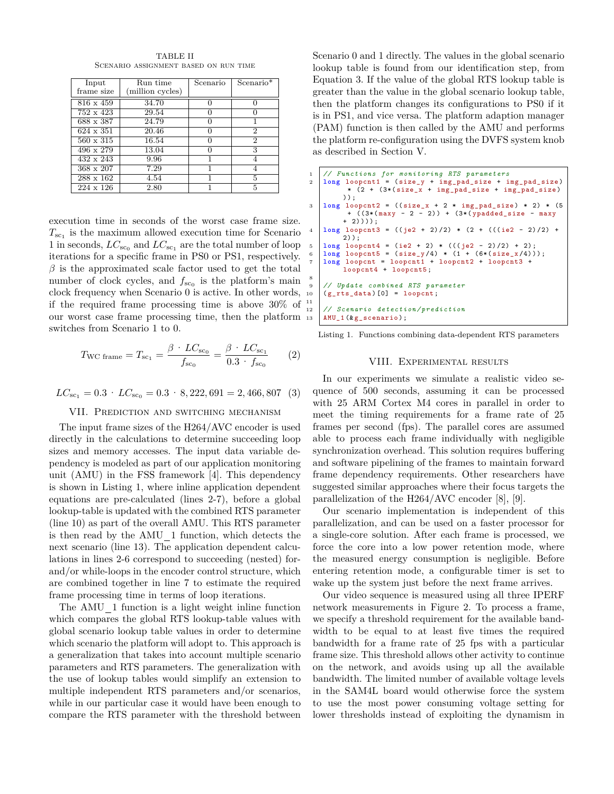| Input            | Run time         | Scenario | Scenario*      |
|------------------|------------------|----------|----------------|
| frame size       | (million cycles) |          |                |
| $816 \times 459$ | 34.70            | 0        |                |
| 752 x 423        | 29.54            | 0        | $\mathbf{0}$   |
| 688 x 387        | 24.79            | 0        | 1              |
| $624 \times 351$ | 20.46            | 0        | $\overline{2}$ |
| $560 \times 315$ | 16.54            | 0        | $\overline{2}$ |
| $496 \times 279$ | 13.04            | 0        | 3              |
| $432 \times 243$ | 9.96             |          | 4              |
| $368 \times 207$ | 7.29             |          |                |
| $288 \times 162$ | 4.54             |          | 5              |
| $224 \times 126$ | 2.80             |          | 5              |

TABLE II Scenario assignment based on run time

execution time in seconds of the worst case frame size.  $T_{\text{sc}_1}$  is the maximum allowed execution time for Scenario 1 in seconds,  $LC_{\rm sc_0}$  and  $LC_{\rm sc_1}$  are the total number of loop iterations for a specific frame in PS0 or PS1, respectively. *β* is the approximated scale factor used to get the total number of clock cycles, and  $f_{\rm sc_0}$  is the platform's main clock frequency when Scenario 0 is active. In other words, if the required frame processing time is above 30% of our worst case frame processing time, then the platform switches from Scenario 1 to 0.

$$
T_{\text{WC frame}} = T_{\text{sc}_1} = \frac{\beta \cdot LC_{\text{sc}_0}}{f_{\text{sc}_0}} = \frac{\beta \cdot LC_{\text{sc}_1}}{0.3 \cdot f_{\text{sc}_0}} \tag{2}
$$

 $LC_{\rm sc_1} = 0.3 \cdot LC_{\rm sc_0} = 0.3 \cdot 8,222,691 = 2,466,807$  (3)

#### VII. Prediction and switching mechanism

The input frame sizes of the H264/AVC encoder is used directly in the calculations to determine succeeding loop sizes and memory accesses. The input data variable dependency is modeled as part of our application monitoring unit (AMU) in the FSS framework [4]. This dependency is shown in Listing 1, where inline application dependent equations are pre-calculated (lines 2-7), before a global lookup-table is updated with the combined RTS parameter (line 10) as part of the overall AMU. This RTS parameter is then read by the AMU 1 function, which detects the next scenario (line 13). The application dependent calculations in lines 2-6 correspond to succeeding (nested) forand/or while-loops in the encoder control structure, which are combined together in line 7 to estimate the required frame processing time in terms of loop iterations.

The AMU 1 function is a light weight inline function which compares the global RTS lookup-table values with global scenario lookup table values in order to determine which scenario the platform will adopt to. This approach is a generalization that takes into account multiple scenario parameters and RTS parameters. The generalization with the use of lookup tables would simplify an extension to multiple independent RTS parameters and/or scenarios, while in our particular case it would have been enough to compare the RTS parameter with the threshold between Scenario 0 and 1 directly. The values in the global scenario lookup table is found from our identification step, from Equation 3. If the value of the global RTS lookup table is greater than the value in the global scenario lookup table, then the platform changes its configurations to PS0 if it is in PS1, and vice versa. The platform adaption manager (PAM) function is then called by the AMU and performs the platform re-configuration using the DVFS system knob as described in Section V.

```
1 // Functions for monitoring RTS parameters
 2 long loopcnt1 = ( size_y + img_pad_size + img_pad_size )
           * (2 + (3*( size_x + img_pad_size + img_pad_size )
         ));
 3 \mid \text{long loopcnt2} = ((size_x + 2 * img_pad_size) * 2) * (5)+ ((3*(max - 2 - 2)) + (3*(ypadded_size - max))+ 2) )) );
    long\ loopcnt3 = ((je2 + 2)/2) * (2 + (((ie2 - 2)/2) +2) );
 5 long loopcnt4 = (ie2 + 2) * ((( je2 - 2) /2) + 2) ;
6 long loopcnt5 = ( size_y /4) * (1 + (6*( size_x /4) ));
    7 long loopcnt = loopcnt1 + loopcnt2 + loopcnt3 +
          loopcnt4 + loopcnt5 ;
 8
    9 // Update combined RTS parameter
    (g_{rts\_data}) [0] = loopcnt;
11
    12 // Scenario detection / prediction
    AMU_1 (& g_scenario);
```
Listing 1. Functions combining data-dependent RTS parameters

#### VIII. Experimental results

In our experiments we simulate a realistic video sequence of 500 seconds, assuming it can be processed with 25 ARM Cortex M4 cores in parallel in order to meet the timing requirements for a frame rate of 25 frames per second (fps). The parallel cores are assumed able to process each frame individually with negligible synchronization overhead. This solution requires buffering and software pipelining of the frames to maintain forward frame dependency requirements. Other researchers have suggested similar approaches where their focus targets the parallelization of the H264/AVC encoder [8], [9].

Our scenario implementation is independent of this parallelization, and can be used on a faster processor for a single-core solution. After each frame is processed, we force the core into a low power retention mode, where the measured energy consumption is negligible. Before entering retention mode, a configurable timer is set to wake up the system just before the next frame arrives.

Our video sequence is measured using all three IPERF network measurements in Figure 2. To process a frame, we specify a threshold requirement for the available bandwidth to be equal to at least five times the required bandwidth for a frame rate of 25 fps with a particular frame size. This threshold allows other activity to continue on the network, and avoids using up all the available bandwidth. The limited number of available voltage levels in the SAM4L board would otherwise force the system to use the most power consuming voltage setting for lower thresholds instead of exploiting the dynamism in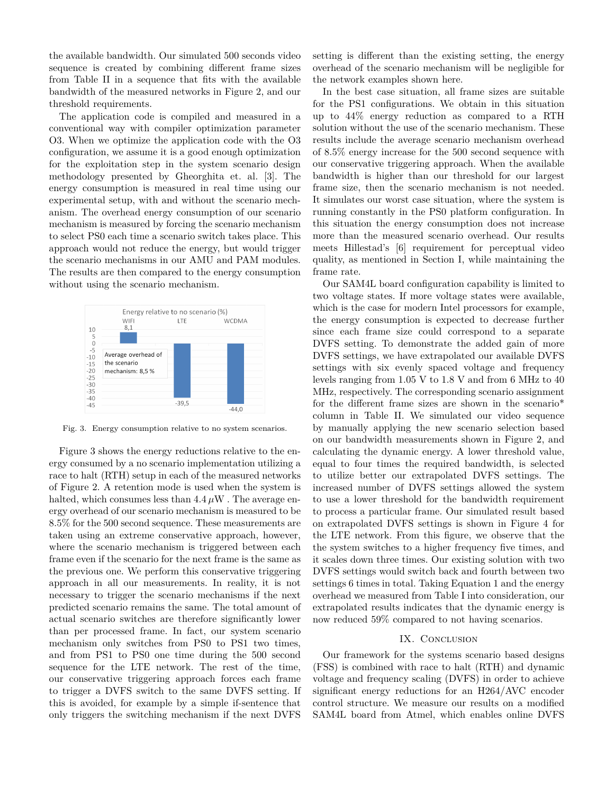the available bandwidth. Our simulated 500 seconds video sequence is created by combining different frame sizes from Table II in a sequence that fits with the available bandwidth of the measured networks in Figure 2, and our threshold requirements.

The application code is compiled and measured in a conventional way with compiler optimization parameter O3. When we optimize the application code with the O3 configuration, we assume it is a good enough optimization for the exploitation step in the system scenario design methodology presented by Gheorghita et. al. [3]. The energy consumption is measured in real time using our experimental setup, with and without the scenario mechanism. The overhead energy consumption of our scenario mechanism is measured by forcing the scenario mechanism to select PS0 each time a scenario switch takes place. This approach would not reduce the energy, but would trigger the scenario mechanisms in our AMU and PAM modules. The results are then compared to the energy consumption without using the scenario mechanism.



Fig. 3. Energy consumption relative to no system scenarios.

Figure 3 shows the energy reductions relative to the energy consumed by a no scenario implementation utilizing a race to halt (RTH) setup in each of the measured networks of Figure 2. A retention mode is used when the system is halted, which consumes less than  $4.4 \mu W$ . The average energy overhead of our scenario mechanism is measured to be 8.5% for the 500 second sequence. These measurements are taken using an extreme conservative approach, however, where the scenario mechanism is triggered between each frame even if the scenario for the next frame is the same as the previous one. We perform this conservative triggering approach in all our measurements. In reality, it is not necessary to trigger the scenario mechanisms if the next predicted scenario remains the same. The total amount of actual scenario switches are therefore significantly lower than per processed frame. In fact, our system scenario mechanism only switches from PS0 to PS1 two times, and from PS1 to PS0 one time during the 500 second sequence for the LTE network. The rest of the time, our conservative triggering approach forces each frame to trigger a DVFS switch to the same DVFS setting. If this is avoided, for example by a simple if-sentence that only triggers the switching mechanism if the next DVFS setting is different than the existing setting, the energy overhead of the scenario mechanism will be negligible for the network examples shown here.

In the best case situation, all frame sizes are suitable for the PS1 configurations. We obtain in this situation up to 44% energy reduction as compared to a RTH solution without the use of the scenario mechanism. These results include the average scenario mechanism overhead of 8.5% energy increase for the 500 second sequence with our conservative triggering approach. When the available bandwidth is higher than our threshold for our largest frame size, then the scenario mechanism is not needed. It simulates our worst case situation, where the system is running constantly in the PS0 platform configuration. In this situation the energy consumption does not increase more than the measured scenario overhead. Our results meets Hillestad's [6] requirement for perceptual video quality, as mentioned in Section I, while maintaining the frame rate.

Our SAM4L board configuration capability is limited to two voltage states. If more voltage states were available, which is the case for modern Intel processors for example, the energy consumption is expected to decrease further since each frame size could correspond to a separate DVFS setting. To demonstrate the added gain of more DVFS settings, we have extrapolated our available DVFS settings with six evenly spaced voltage and frequency levels ranging from 1.05 V to 1.8 V and from 6 MHz to 40 MHz, respectively. The corresponding scenario assignment for the different frame sizes are shown in the scenario\* column in Table II. We simulated our video sequence by manually applying the new scenario selection based on our bandwidth measurements shown in Figure 2, and calculating the dynamic energy. A lower threshold value, equal to four times the required bandwidth, is selected to utilize better our extrapolated DVFS settings. The increased number of DVFS settings allowed the system to use a lower threshold for the bandwidth requirement to process a particular frame. Our simulated result based on extrapolated DVFS settings is shown in Figure 4 for the LTE network. From this figure, we observe that the the system switches to a higher frequency five times, and it scales down three times. Our existing solution with two DVFS settings would switch back and fourth between two settings 6 times in total. Taking Equation 1 and the energy overhead we measured from Table I into consideration, our extrapolated results indicates that the dynamic energy is now reduced 59% compared to not having scenarios.

#### IX. CONCLUSION

Our framework for the systems scenario based designs (FSS) is combined with race to halt (RTH) and dynamic voltage and frequency scaling (DVFS) in order to achieve significant energy reductions for an H264/AVC encoder control structure. We measure our results on a modified SAM4L board from Atmel, which enables online DVFS